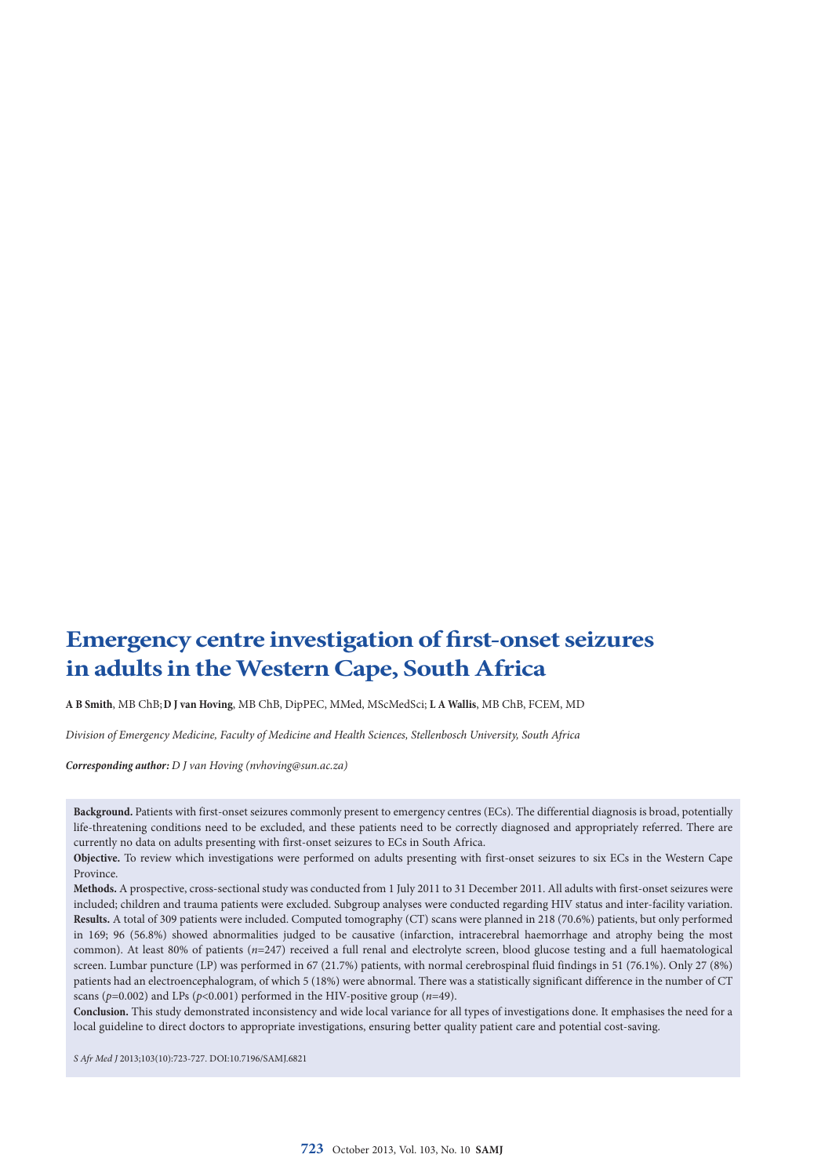# **Emergency centre investigation of first-onset seizures in adults in the Western Cape, South Africa**

**A B Smith**, MB ChB;**D J van Hoving**, MB ChB, DipPEC, MMed, MScMedSci; **L A Wallis**, MB ChB, FCEM, MD

*Division of Emergency Medicine, Faculty of Medicine and Health Sciences, Stellenbosch University, South Africa*

*Corresponding author: D J van Hoving ([nvhoving@sun.ac.za\)](mailto:nvhoving@sun.ac.za)*

**Background.** Patients with first-onset seizures commonly present to emergency centres (ECs). The differential diagnosis is broad, potentially life-threatening conditions need to be excluded, and these patients need to be correctly diagnosed and appropriately referred. There are currently no data on adults presenting with first-onset seizures to ECs in South Africa.

**Objective.** To review which investigations were performed on adults presenting with first-onset seizures to six ECs in the Western Cape Province.

**Methods.** A prospective, cross-sectional study was conducted from 1 July 2011 to 31 December 2011. All adults with first-onset seizures were included; children and trauma patients were excluded. Subgroup analyses were conducted regarding HIV status and inter-facility variation. **Results.** A total of 309 patients were included. Computed tomography (CT) scans were planned in 218 (70.6%) patients, but only performed in 169; 96 (56.8%) showed abnormalities judged to be causative (infarction, intracerebral haemorrhage and atrophy being the most common). At least 80% of patients (*n*=247) received a full renal and electrolyte screen, blood glucose testing and a full haematological screen. Lumbar puncture (LP) was performed in 67 (21.7%) patients, with normal cerebrospinal fluid findings in 51 (76.1%). Only 27 (8%) patients had an electroencephalogram, of which 5 (18%) were abnormal. There was a statistically significant difference in the number of CT scans ( $p=0.002$ ) and LPs ( $p<0.001$ ) performed in the HIV-positive group ( $n=49$ ).

**Conclusion.** This study demonstrated inconsistency and wide local variance for all types of investigations done. It emphasises the need for a local guideline to direct doctors to appropriate investigations, ensuring better quality patient care and potential cost-saving.

*S Afr Med J* 2013;103(10):723-727. DOI:10.7196/SAMJ.6821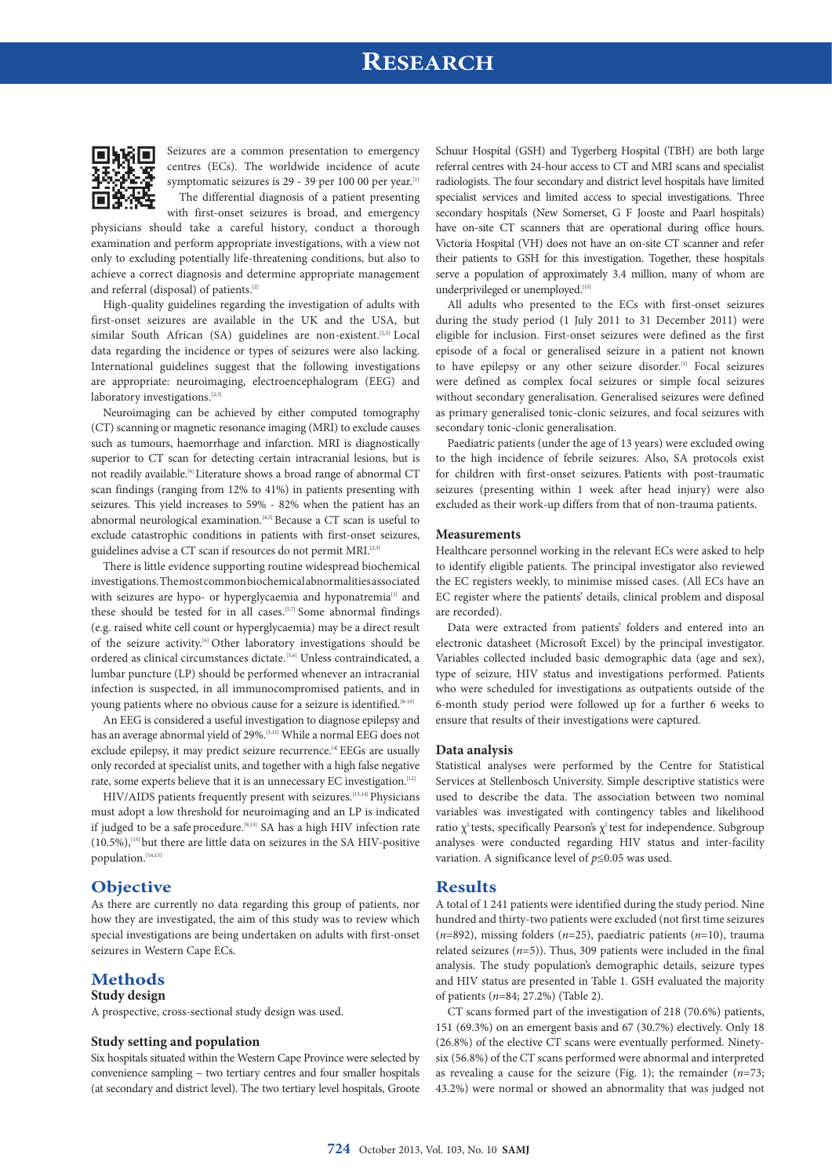## **RESEARCH**



Seizures are a common presentation to emergency centres (ECs). The worldwide incidence of acute symptomatic seizures is 29 - 39 per 100 00 per year.<sup>[1]</sup> The differential diagnosis of a patient presenting

with first-onset seizures is broad, and emergency physicians should take a careful history, conduct a thorough examination and perform appropriate investigations, with a view not only to excluding potentially life-threatening conditions, but also to achieve a correct diagnosis and determine appropriate management and referral (disposal) of patients.<sup>[2]</sup>

High-quality guidelines regarding the investigation of adults with first-onset seizures are available in the UK and the USA, but similar South African (SA) guidelines are non-existent.<sup>[2,3]</sup> Local data regarding the incidence or types of seizures were also lacking. International guidelines suggest that the following investigations are appropriate: neuroimaging, electroencephalogram (EEG) and laboratory investigations.  $\real^{[2,3]}$ 

Neuroimaging can be achieved by either computed tomography (CT) scanning or magnetic resonance imaging (MRI) to exclude causes such as tumours, haemorrhage and infarction. MRI is diagnostically superior to CT scan for detecting certain intracranial lesions, but is not readily available.[4] Literature shows a broad range of abnormal CT scan findings (ranging from 12% to 41%) in patients presenting with seizures. This yield increases to 59% - 82% when the patient has an abnormal neurological examination.[4,5] Because a CT scan is useful to exclude catastrophic conditions in patients with first-onset seizures, guidelines advise a CT scan if resources do not permit MRI.<sup>[2,3]</sup>

There is little evidence supporting routine widespread biochemical investigations. The most common biochemical abnormalities associated with seizures are hypo- or hyperglycaemia and hyponatremia<sup>[1]</sup> and these should be tested for in all cases.<sup>[5,7]</sup> Some abnormal findings (e.g. raised white cell count or hyperglycaemia) may be a direct result of the seizure activity.[6] Other laboratory investigations should be ordered as clinical circumstances dictate.<sup>[5,6]</sup> Unless contraindicated, a lumbar puncture (LP) should be performed whenever an intracranial infection is suspected, in all immunocompromised patients, and in young patients where no obvious cause for a seizure is identified.<sup>[8-10]</sup>

An EEG is considered a useful investigation to diagnose epilepsy and has an average abnormal yield of 29%.<sup>[3,11]</sup> While a normal EEG does not exclude epilepsy, it may predict seizure recurrence.<sup>[4]</sup> EEGs are usually only recorded at specialist units, and together with a high false negative rate, some experts believe that it is an unnecessary EC investigation.<sup>[12]</sup>

HIV/AIDS patients frequently present with seizures.<sup>[13,14]</sup> Physicians must adopt a low threshold for neuroimaging and an LP is indicated if judged to be a safe procedure.[9,13] SA has a high HIV infection rate (10.5%),[15] but there are little data on seizures in the SA HIV-positive population.[14,15]

## **Objective**

As there are currently no data regarding this group of patients, nor how they are investigated, the aim of this study was to review which special investigations are being undertaken on adults with first-onset seizures in Western Cape ECs.

## **Methods**

### **Study design**

A prospective, cross-sectional study design was used.

### **Study setting and population**

Six hospitals situated within the Western Cape Province were selected by convenience sampling – two tertiary centres and four smaller hospitals (at secondary and district level). The two tertiary level hospitals, Groote Schuur Hospital (GSH) and Tygerberg Hospital (TBH) are both large referral centres with 24-hour access to CT and MRI scans and specialist radiologists. The four secondary and district level hospitals have limited specialist services and limited access to special investigations. Three secondary hospitals (New Somerset, G F Jooste and Paarl hospitals) have on-site CT scanners that are operational during office hours. Victoria Hospital (VH) does not have an on-site CT scanner and refer their patients to GSH for this investigation. Together, these hospitals serve a population of approximately 3.4 million, many of whom are underprivileged or unemployed.[15]

All adults who presented to the ECs with first-onset seizures during the study period (1 July 2011 to 31 December 2011) were eligible for inclusion. First-onset seizures were defined as the first episode of a focal or generalised seizure in a patient not known to have epilepsy or any other seizure disorder.<sup>[1]</sup> Focal seizures were defined as complex focal seizures or simple focal seizures without secondary generalisation. Generalised seizures were defined as primary generalised tonic-clonic seizures, and focal seizures with secondary tonic-clonic generalisation.

Paediatric patients (under the age of 13 years) were excluded owing to the high incidence of febrile seizures. Also, SA protocols exist for children with first-onset seizures. Patients with post-traumatic seizures (presenting within 1 week after head injury) were also excluded as their work-up differs from that of non-trauma patients.

#### **Measurements**

Healthcare personnel working in the relevant ECs were asked to help to identify eligible patients. The principal investigator also reviewed the EC registers weekly, to minimise missed cases. (All ECs have an EC register where the patients' details, clinical problem and disposal are recorded).

Data were extracted from patients' folders and entered into an electronic datasheet (Microsoft Excel) by the principal investigator. Variables collected included basic demographic data (age and sex), type of seizure, HIV status and investigations performed. Patients who were scheduled for investigations as outpatients outside of the 6-month study period were followed up for a further 6 weeks to ensure that results of their investigations were captured.

### **Data analysis**

Statistical analyses were performed by the Centre for Statistical Services at Stellenbosch University. Simple descriptive statistics were used to describe the data. The association between two nominal variables was investigated with contingency tables and likelihood ratio  $\chi^2$  tests, specifically Pearson's  $\chi^2$  test for independence. Subgroup analyses were conducted regarding HIV status and inter-facility variation. A significance level of *p*≤0.05 was used.

### **Results**

A total of 1 241 patients were identified during the study period. Nine hundred and thirty-two patients were excluded (not first time seizures (*n*=892), missing folders (*n*=25), paediatric patients (*n*=10), trauma related seizures  $(n=5)$ ). Thus, 309 patients were included in the final analysis. The study population's demographic details, seizure types and HIV status are presented in Table 1. GSH evaluated the majority of patients (*n*=84; 27.2%) (Table 2).

CT scans formed part of the investigation of 218 (70.6%) patients, 151 (69.3%) on an emergent basis and 67 (30.7%) electively. Only 18 (26.8%) of the elective CT scans were eventually performed. Ninetysix (56.8%) of the CT scans performed were abnormal and interpreted as revealing a cause for the seizure (Fig. 1); the remainder (*n*=73; 43.2%) were normal or showed an abnormality that was judged not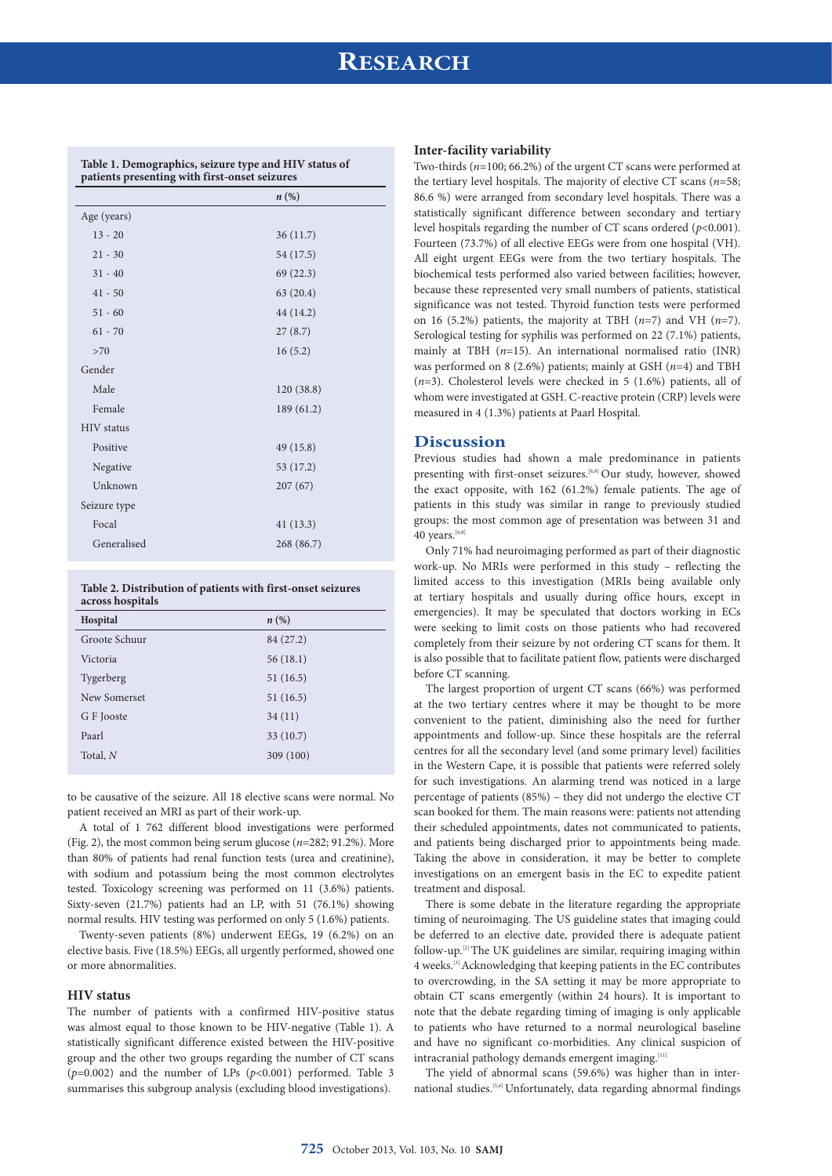# **RESEARCH**

|                   | $n\left(\%\right)$ |
|-------------------|--------------------|
| Age (years)       |                    |
| $13 - 20$         | 36(11.7)           |
| $21 - 30$         | 54 (17.5)          |
| $31 - 40$         | 69(22.3)           |
| $41 - 50$         | 63(20.4)           |
| $51 - 60$         | 44 (14.2)          |
| $61 - 70$         | 27(8.7)            |
| >70               | 16(5.2)            |
| Gender            |                    |
| Male              | 120(38.8)          |
| Female            | 189 (61.2)         |
| <b>HIV</b> status |                    |
| Positive          | 49(15.8)           |
| Negative          | 53 (17.2)          |
| Unknown           | 207(67)            |
| Seizure type      |                    |
| Focal             | 41(13.3)           |
| Generalised       | 268 (86.7)         |
|                   |                    |

**Table 1. Demographics, seizure type and HIV status of** 

**Table 2. Distribution of patients with first-onset seizures across hospitals**

| Hospital      | $n\left(\%\right)$ |
|---------------|--------------------|
| Groote Schuur | 84 (27.2)          |
| Victoria      | 56(18.1)           |
| Tygerberg     | 51(16.5)           |
| New Somerset  | 51(16.5)           |
| G F Jooste    | 34(11)             |
| Paarl         | 33(10.7)           |
| Total, N      | 309 (100)          |
|               |                    |

to be causative of the seizure. All 18 elective scans were normal. No patient received an MRI as part of their work-up.

A total of 1 762 different blood investigations were performed (Fig. 2), the most common being serum glucose (*n*=282; 91.2%). More than 80% of patients had renal function tests (urea and creatinine), with sodium and potassium being the most common electrolytes tested. Toxicology screening was performed on 11 (3.6%) patients. Sixty-seven (21.7%) patients had an LP, with 51 (76.1%) showing normal results. HIV testing was performed on only 5 (1.6%) patients.

Twenty-seven patients (8%) underwent EEGs, 19 (6.2%) on an elective basis. Five (18.5%) EEGs, all urgently performed, showed one or more abnormalities.

### **HIV status**

The number of patients with a confirmed HIV-positive status was almost equal to those known to be HIV-negative (Table 1). A statistically significant difference existed between the HIV-positive group and the other two groups regarding the number of CT scans (*p*=0.002) and the number of LPs (*p*<0.001) performed. Table 3 summarises this subgroup analysis (excluding blood investigations).

### **Inter-facility variability**

Two-thirds (*n*=100; 66.2%) of the urgent CT scans were performed at the tertiary level hospitals. The majority of elective CT scans (*n*=58; 86.6 %) were arranged from secondary level hospitals. There was a statistically significant difference between secondary and tertiary level hospitals regarding the number of CT scans ordered (*p*<0.001). Fourteen (73.7%) of all elective EEGs were from one hospital (VH). All eight urgent EEGs were from the two tertiary hospitals. The biochemical tests performed also varied between facilities; however, because these represented very small numbers of patients, statistical significance was not tested. Thyroid function tests were performed on 16 (5.2%) patients, the majority at TBH (*n*=7) and VH (*n*=7). Serological testing for syphilis was performed on 22 (7.1%) patients, mainly at TBH (*n*=15). An international normalised ratio (INR) was performed on 8 (2.6%) patients; mainly at GSH (*n*=4) and TBH (*n*=3). Cholesterol levels were checked in 5 (1.6%) patients, all of whom were investigated at GSH. C-reactive protein (CRP) levels were measured in 4 (1.3%) patients at Paarl Hospital.

### **Discussion**

Previous studies had shown a male predominance in patients presenting with first-onset seizures.<sup>[6,8]</sup> Our study, however, showed the exact opposite, with 162 (61.2%) female patients. The age of patients in this study was similar in range to previously studied groups: the most common age of presentation was between 31 and 40 years. $[6,8]$ 

Only 71% had neuroimaging performed as part of their diagnostic work-up. No MRIs were performed in this study – reflecting the limited access to this investigation (MRIs being available only at tertiary hospitals and usually during office hours, except in emergencies). It may be speculated that doctors working in ECs were seeking to limit costs on those patients who had recovered completely from their seizure by not ordering CT scans for them. It is also possible that to facilitate patient flow, patients were discharged before CT scanning.

The largest proportion of urgent CT scans (66%) was performed at the two tertiary centres where it may be thought to be more convenient to the patient, diminishing also the need for further appointments and follow-up. Since these hospitals are the referral centres for all the secondary level (and some primary level) facilities in the Western Cape, it is possible that patients were referred solely for such investigations. An alarming trend was noticed in a large percentage of patients (85%) – they did not undergo the elective CT scan booked for them. The main reasons were: patients not attending their scheduled appointments, dates not communicated to patients, and patients being discharged prior to appointments being made. Taking the above in consideration, it may be better to complete investigations on an emergent basis in the EC to expedite patient treatment and disposal.

There is some debate in the literature regarding the appropriate timing of neuroimaging. The US guideline states that imaging could be deferred to an elective date, provided there is adequate patient follow-up.[2] The UK guidelines are similar, requiring imaging within 4 weeks.[3] Acknowledging that keeping patients in the EC contributes to overcrowding, in the SA setting it may be more appropriate to obtain CT scans emergently (within 24 hours). It is important to note that the debate regarding timing of imaging is only applicable to patients who have returned to a normal neurological baseline and have no significant co-morbidities. Any clinical suspicion of intracranial pathology demands emergent imaging.<sup>[11]</sup>

The yield of abnormal scans (59.6%) was higher than in international studies.[5,6] Unfortunately, data regarding abnormal findings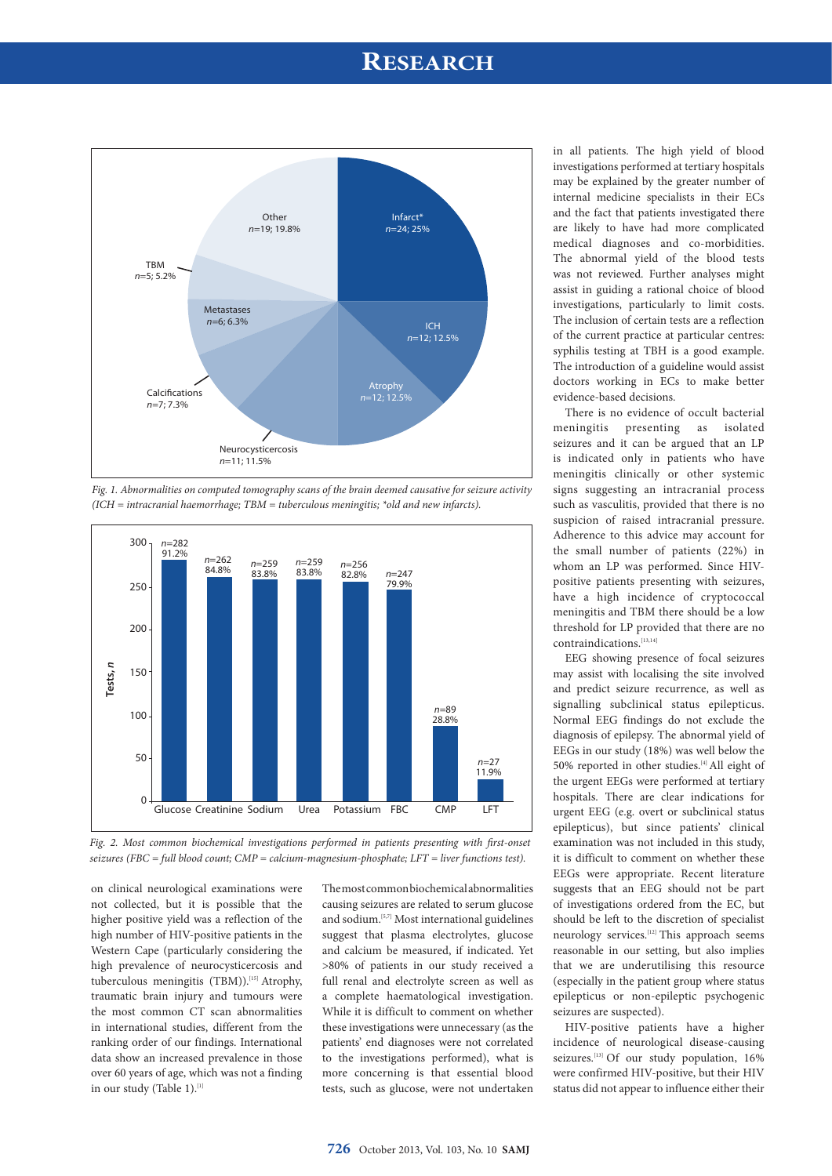## **RESEARCH**



*Fig. 1. Abnormalities on computed tomography scans of the brain deemed causative for seizure activity (ICH = intracranial haemorrhage; TBM = tuberculous meningitis; \*old and new infarcts).*



*Fig. 2. Most common biochemical investigations performed in patients presenting with first-onset seizures (FBC = full blood count; CMP = calcium-magnesium-phosphate; LFT = liver functions test).*

on clinical neurological examinations were not collected, but it is possible that the higher positive yield was a reflection of the high number of HIV-positive patients in the Western Cape (particularly considering the high prevalence of neurocysticercosis and tuberculous meningitis (TBM)).<sup>[15]</sup> Atrophy, traumatic brain injury and tumours were the most common CT scan abnormalities in international studies, different from the ranking order of our findings. International data show an increased prevalence in those over 60 years of age, which was not a finding in our study (Table 1).<sup>[1]</sup>

The most common biochemical abnormalities causing seizures are related to serum glucose and sodium.[5,7] Most international guidelines suggest that plasma electrolytes, glucose and calcium be measured, if indicated. Yet >80% of patients in our study received a full renal and electrolyte screen as well as a complete haematological investigation. While it is difficult to comment on whether these investigations were unnecessary (as the patients' end diagnoses were not correlated to the investigations performed), what is more concerning is that essential blood tests, such as glucose, were not undertaken

in all patients. The high yield of blood investigations performed at tertiary hospitals may be explained by the greater number of internal medicine specialists in their ECs and the fact that patients investigated there are likely to have had more complicated medical diagnoses and co-morbidities. The abnormal yield of the blood tests was not reviewed. Further analyses might assist in guiding a rational choice of blood investigations, particularly to limit costs. The inclusion of certain tests are a reflection of the current practice at particular centres: syphilis testing at TBH is a good example. The introduction of a guideline would assist doctors working in ECs to make better evidence-based decisions.

There is no evidence of occult bacterial meningitis presenting as isolated seizures and it can be argued that an LP is indicated only in patients who have meningitis clinically or other systemic signs suggesting an intracranial process such as vasculitis, provided that there is no suspicion of raised intracranial pressure. Adherence to this advice may account for the small number of patients (22%) in whom an LP was performed. Since HIVpositive patients presenting with seizures, have a high incidence of cryptococcal meningitis and TBM there should be a low threshold for LP provided that there are no contraindications.[13,14]

EEG showing presence of focal seizures may assist with localising the site involved and predict seizure recurrence, as well as signalling subclinical status epilepticus. Normal EEG findings do not exclude the diagnosis of epilepsy. The abnormal yield of EEGs in our study (18%) was well below the 50% reported in other studies. $[4]$  All eight of the urgent EEGs were performed at tertiary hospitals. There are clear indications for urgent EEG (e.g. overt or subclinical status epilepticus), but since patients' clinical examination was not included in this study, it is difficult to comment on whether these EEGs were appropriate. Recent literature suggests that an EEG should not be part of investigations ordered from the EC, but should be left to the discretion of specialist neurology services.<sup>[12]</sup> This approach seems reasonable in our setting, but also implies that we are underutilising this resource (especially in the patient group where status epilepticus or non-epileptic psychogenic seizures are suspected).

HIV-positive patients have a higher incidence of neurological disease-causing seizures.<sup>[13]</sup> Of our study population, 16% were confirmed HIV-positive, but their HIV status did not appear to influence either their